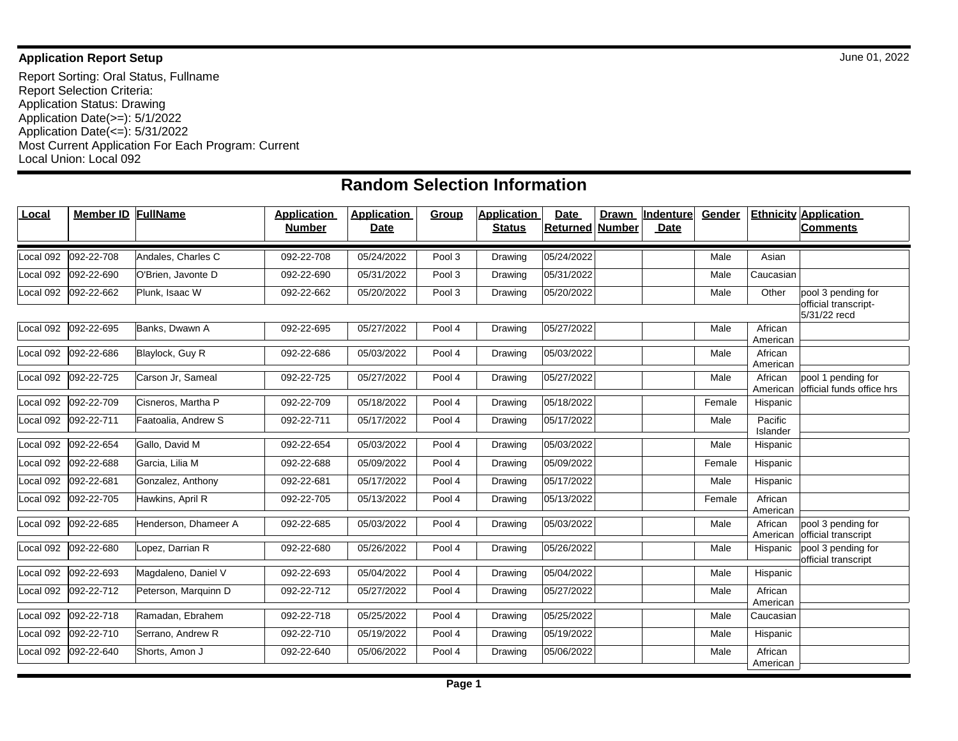## **Application Report Setup** June 01, 2022

Report Sorting: Oral Status, Fullname Report Selection Criteria: Application Status: Drawing Application Date(>=): 5/1/2022 Application Date(<=): 5/31/2022 Most Current Application For Each Program: Current Local Union: Local 092

## **Random Selection Information**

| Local     | Member ID  | FullName             | <b>Application</b><br><b>Number</b> | <b>Application</b><br><b>Date</b> | <b>Group</b> | <b>Application</b><br><b>Status</b> | <b>Date</b><br><b>Drawn</b><br><b>Returned</b><br><b>Number</b> | Indenture<br><b>Date</b> | Gender |                     | <b>Ethnicity Application</b><br><b>Comments</b> |
|-----------|------------|----------------------|-------------------------------------|-----------------------------------|--------------|-------------------------------------|-----------------------------------------------------------------|--------------------------|--------|---------------------|-------------------------------------------------|
| Local 092 | 092-22-708 | Andales, Charles C   | 092-22-708                          | 05/24/2022                        | Pool 3       | Drawing                             | 05/24/2022                                                      |                          | Male   | Asian               |                                                 |
| Local 092 | 092-22-690 | O'Brien, Javonte D   | 092-22-690                          | 05/31/2022                        | Pool 3       | Drawing                             | 05/31/2022                                                      |                          | Male   | Caucasian           |                                                 |
| Local 092 | 092-22-662 | Plunk, Isaac W       | 092-22-662                          | 05/20/2022                        | Pool 3       | Drawing                             | 05/20/2022                                                      |                          | Male   | Other               | pool 3 pending for<br>official transcript-      |
|           |            |                      |                                     |                                   |              |                                     |                                                                 |                          |        |                     | 5/31/22 recd                                    |
| Local 092 | 092-22-695 | Banks, Dwawn A       | 092-22-695                          | 05/27/2022                        | Pool 4       | Drawing                             | 05/27/2022                                                      |                          | Male   | African<br>American |                                                 |
| Local 092 | 092-22-686 | Blaylock, Guy R      | 092-22-686                          | 05/03/2022                        | Pool 4       | Drawing                             | 05/03/2022                                                      |                          | Male   | African<br>American |                                                 |
| Local 092 | 092-22-725 | Carson Jr. Sameal    | 092-22-725                          | 05/27/2022                        | Pool 4       | Drawing                             | 05/27/2022                                                      |                          | Male   | African<br>American | pool 1 pending for<br>official funds office hrs |
| Local 092 | 092-22-709 | Cisneros, Martha P   | 092-22-709                          | 05/18/2022                        | Pool 4       | Drawing                             | 05/18/2022                                                      |                          | Female | Hispanic            |                                                 |
| Local 092 | 092-22-711 | Faatoalia, Andrew S  | 092-22-711                          | 05/17/2022                        | Pool 4       | Drawing                             | 05/17/2022                                                      |                          | Male   | Pacific<br>Islander |                                                 |
| Local 092 | 092-22-654 | Gallo, David M       | 092-22-654                          | 05/03/2022                        | Pool 4       | Drawing                             | 05/03/2022                                                      |                          | Male   | Hispanic            |                                                 |
| Local 092 | 092-22-688 | Garcia, Lilia M      | 092-22-688                          | 05/09/2022                        | Pool 4       | Drawing                             | 05/09/2022                                                      |                          | Female | Hispanic            |                                                 |
| Local 092 | 092-22-681 | Gonzalez, Anthony    | 092-22-681                          | 05/17/2022                        | Pool 4       | Drawing                             | 05/17/2022                                                      |                          | Male   | Hispanic            |                                                 |
| Local 092 | 092-22-705 | Hawkins, April R     | 092-22-705                          | 05/13/2022                        | Pool 4       | Drawing                             | 05/13/2022                                                      |                          | Female | African<br>American |                                                 |
| Local 092 | 092-22-685 | Henderson, Dhameer A | 092-22-685                          | 05/03/2022                        | Pool 4       | Drawing                             | 05/03/2022                                                      |                          | Male   | African<br>American | pool 3 pending for<br>official transcript       |
| Local 092 | 092-22-680 | Lopez, Darrian R     | 092-22-680                          | 05/26/2022                        | Pool 4       | Drawing                             | 05/26/2022                                                      |                          | Male   | Hispanic            | pool 3 pending for<br>official transcript       |
| Local 092 | 092-22-693 | Magdaleno, Daniel V  | 092-22-693                          | 05/04/2022                        | Pool 4       | Drawing                             | 05/04/2022                                                      |                          | Male   | Hispanic            |                                                 |
| Local 092 | 092-22-712 | Peterson, Marquinn D | 092-22-712                          | 05/27/2022                        | Pool 4       | Drawing                             | 05/27/2022                                                      |                          | Male   | African<br>American |                                                 |
| Local 092 | 092-22-718 | Ramadan, Ebrahem     | 092-22-718                          | 05/25/2022                        | Pool 4       | Drawing                             | 05/25/2022                                                      |                          | Male   | Caucasian           |                                                 |
| Local 092 | 092-22-710 | Serrano, Andrew R    | 092-22-710                          | 05/19/2022                        | Pool 4       | Drawing                             | 05/19/2022                                                      |                          | Male   | Hispanic            |                                                 |
| Local 092 | 092-22-640 | Shorts, Amon J       | 092-22-640                          | 05/06/2022                        | Pool 4       | Drawing                             | 05/06/2022                                                      |                          | Male   | African<br>American |                                                 |